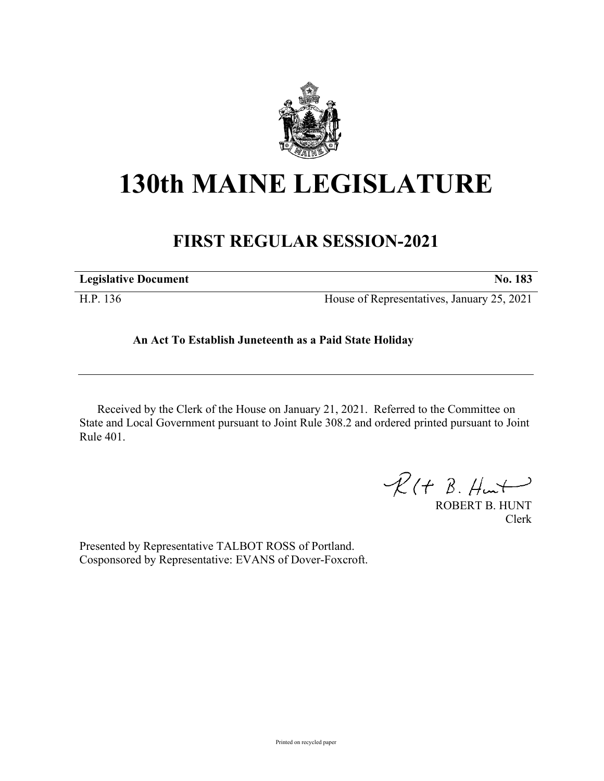

# **130th MAINE LEGISLATURE**

## **FIRST REGULAR SESSION-2021**

| <b>Legislative Document</b> | <b>No. 183</b>                             |
|-----------------------------|--------------------------------------------|
| H.P. 136                    | House of Representatives, January 25, 2021 |

### **An Act To Establish Juneteenth as a Paid State Holiday**

Received by the Clerk of the House on January 21, 2021. Referred to the Committee on State and Local Government pursuant to Joint Rule 308.2 and ordered printed pursuant to Joint Rule 401.

 $R(H B. H<sub>un</sub>+)$ 

ROBERT B. HUNT Clerk

Presented by Representative TALBOT ROSS of Portland. Cosponsored by Representative: EVANS of Dover-Foxcroft.